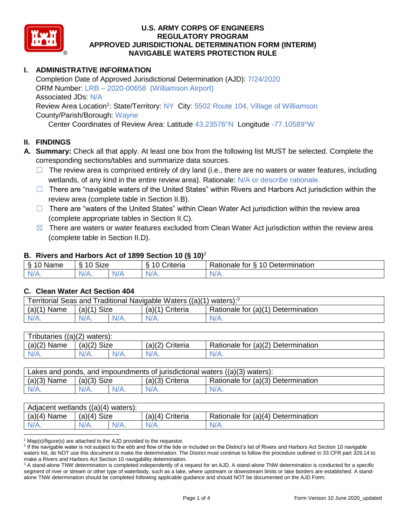

## **I. ADMINISTRATIVE INFORMATION**

Completion Date of Approved Jurisdictional Determination (AJD): 7/24/2020 ORM Number: LRB – 2020-00658 (Williamson Airport) Associated JDs: N/A Review Area Location<sup>1</sup>: State/Territory: NY City: 5502 Route 104, Village of Williamson County/Parish/Borough: Wayne

Center Coordinates of Review Area: Latitude 43.23576°N Longitude -77.10589°W

### **II. FINDINGS**

- **A. Summary:** Check all that apply. At least one box from the following list MUST be selected. Complete the corresponding sections/tables and summarize data sources.
	- $\Box$  The review area is comprised entirely of dry land (i.e., there are no waters or water features, including wetlands, of any kind in the entire review area). Rationale: N/A or describe rationale.
	- □ There are "navigable waters of the United States" within Rivers and Harbors Act jurisdiction within the review area (complete table in Section II.B).
	- $\Box$  There are "waters of the United States" within Clean Water Act jurisdiction within the review area (complete appropriate tables in Section II.C).
	- $\boxtimes$  There are waters or water features excluded from Clean Water Act jurisdiction within the review area (complete table in Section II.D).

### **B. Rivers and Harbors Act of 1899 Section 10 (§ 10)**<sup>2</sup>

| Name<br>◡          | $\sim$<br>$\sqrt{2}$<br>Size<br>◡ |  | $\sim$<br>Criteria | 10<br>Determination<br>Rationale for<br>$\circ$ |
|--------------------|-----------------------------------|--|--------------------|-------------------------------------------------|
| ми<br>$\mathbf{v}$ | $N/A$ .                           |  | $N/A$ .            | w// v.                                          |

### **C. Clean Water Act Section 404**

| Territorial Seas and Traditional Navigable Waters $((a)(1)$ waters): <sup>3</sup> |                       |         |                   |                                    |  |  |  |
|-----------------------------------------------------------------------------------|-----------------------|---------|-------------------|------------------------------------|--|--|--|
| $(a)(1)$ Name                                                                     | <b>Size</b><br>(a)(1) |         | $(a)(1)$ Criteria | Rationale for (a)(1) Determination |  |  |  |
| $N/A$ .                                                                           | $N/A$ .               | $N/A$ . | $N/A$ .           | $N/A$ .                            |  |  |  |

| Tributaries $((a)(2)$ waters): |                    |  |                 |                                    |  |  |  |  |
|--------------------------------|--------------------|--|-----------------|------------------------------------|--|--|--|--|
| (a)(2)<br>Name                 | $(a)(2)$ Size      |  | (a)(2) Criteria | Rationale for (a)(2) Determination |  |  |  |  |
| $N/A$ .                        | $N/A$ .<br>$N/A$ . |  | $N/A$ .         | N/A.                               |  |  |  |  |

| Lakes and ponds, and impoundments of jurisdictional waters $((a)(3)$ waters): |               |  |                 |                                    |  |  |  |
|-------------------------------------------------------------------------------|---------------|--|-----------------|------------------------------------|--|--|--|
| $(a)(3)$ Name                                                                 | $(a)(3)$ Size |  | (a)(3) Criteria | Rationale for (a)(3) Determination |  |  |  |
| $N/A$ .                                                                       | $N/A$ .       |  | $N/A$ .         | $N/A$ .                            |  |  |  |

| Adjacent wetlands $((a)(4)$ waters): |                    |  |                   |                                    |  |  |  |  |  |
|--------------------------------------|--------------------|--|-------------------|------------------------------------|--|--|--|--|--|
| $(a)(4)$ Name                        | (a)(4) Size        |  | $(a)(4)$ Criteria | Rationale for (a)(4) Determination |  |  |  |  |  |
| $N/A$ .                              | $N/A$ .<br>$N/A$ . |  | $N/A$ .           | $N/A$ .                            |  |  |  |  |  |
|                                      |                    |  |                   |                                    |  |  |  |  |  |

 $1$  Map(s)/figure(s) are attached to the AJD provided to the requestor.

<sup>2</sup> If the navigable water is not subject to the ebb and flow of the tide or included on the District's list of Rivers and Harbors Act Section 10 navigable waters list, do NOT use this document to make the determination. The District must continue to follow the procedure outlined in 33 CFR part 329.14 to make a Rivers and Harbors Act Section 10 navigability determination.

<sup>3</sup> A stand-alone TNW determination is completed independently of a request for an AJD. A stand-alone TNW determination is conducted for a specific segment of river or stream or other type of waterbody, such as a lake, where upstream or downstream limits or lake borders are established. A standalone TNW determination should be completed following applicable guidance and should NOT be documented on the AJD Form.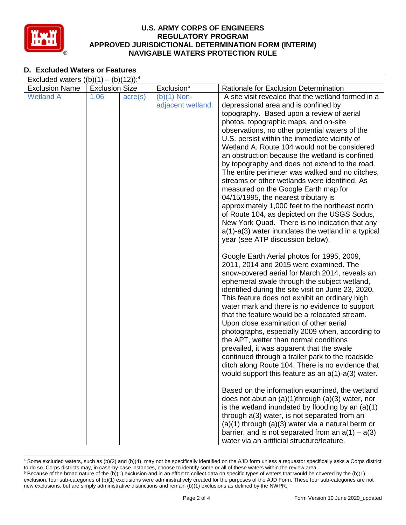

## **D. Excluded Waters or Features**

| Excluded waters $((b)(1) - (b)(12))$ : <sup>4</sup> |                       |                  |                        |                                                                                               |  |  |  |  |
|-----------------------------------------------------|-----------------------|------------------|------------------------|-----------------------------------------------------------------------------------------------|--|--|--|--|
| <b>Exclusion Name</b>                               | <b>Exclusion Size</b> |                  | Exclusion <sup>5</sup> | Rationale for Exclusion Determination                                                         |  |  |  |  |
| <b>Wetland A</b>                                    | 1.06                  | $\text{acre}(s)$ | $(b)(1)$ Non-          | A site visit revealed that the wetland formed in a                                            |  |  |  |  |
|                                                     |                       |                  | adjacent wetland.      | depressional area and is confined by                                                          |  |  |  |  |
|                                                     |                       |                  |                        | topography. Based upon a review of aerial                                                     |  |  |  |  |
|                                                     |                       |                  |                        | photos, topographic maps, and on-site                                                         |  |  |  |  |
|                                                     |                       |                  |                        | observations, no other potential waters of the                                                |  |  |  |  |
|                                                     |                       |                  |                        | U.S. persist within the immediate vicinity of<br>Wetland A. Route 104 would not be considered |  |  |  |  |
|                                                     |                       |                  |                        | an obstruction because the wetland is confined                                                |  |  |  |  |
|                                                     |                       |                  |                        | by topography and does not extend to the road.                                                |  |  |  |  |
|                                                     |                       |                  |                        | The entire perimeter was walked and no ditches,                                               |  |  |  |  |
|                                                     |                       |                  |                        | streams or other wetlands were identified. As                                                 |  |  |  |  |
|                                                     |                       |                  |                        | measured on the Google Earth map for                                                          |  |  |  |  |
|                                                     |                       |                  |                        | 04/15/1995, the nearest tributary is                                                          |  |  |  |  |
|                                                     |                       |                  |                        | approximately 1,000 feet to the northeast north                                               |  |  |  |  |
|                                                     |                       |                  |                        | of Route 104, as depicted on the USGS Sodus,                                                  |  |  |  |  |
|                                                     |                       |                  |                        | New York Quad. There is no indication that any                                                |  |  |  |  |
|                                                     |                       |                  |                        | a(1)-a(3) water inundates the wetland in a typical                                            |  |  |  |  |
|                                                     |                       |                  |                        | year (see ATP discussion below).                                                              |  |  |  |  |
|                                                     |                       |                  |                        | Google Earth Aerial photos for 1995, 2009,                                                    |  |  |  |  |
|                                                     |                       |                  |                        | 2011, 2014 and 2015 were examined. The                                                        |  |  |  |  |
|                                                     |                       |                  |                        | snow-covered aerial for March 2014, reveals an                                                |  |  |  |  |
|                                                     |                       |                  |                        | ephemeral swale through the subject wetland,                                                  |  |  |  |  |
|                                                     |                       |                  |                        | identified during the site visit on June 23, 2020.                                            |  |  |  |  |
|                                                     |                       |                  |                        | This feature does not exhibit an ordinary high                                                |  |  |  |  |
|                                                     |                       |                  |                        | water mark and there is no evidence to support                                                |  |  |  |  |
|                                                     |                       |                  |                        | that the feature would be a relocated stream.                                                 |  |  |  |  |
|                                                     |                       |                  |                        | Upon close examination of other aerial<br>photographs, especially 2009 when, according to     |  |  |  |  |
|                                                     |                       |                  |                        | the APT, wetter than normal conditions                                                        |  |  |  |  |
|                                                     |                       |                  |                        | prevailed, it was apparent that the swale                                                     |  |  |  |  |
|                                                     |                       |                  |                        | continued through a trailer park to the roadside                                              |  |  |  |  |
|                                                     |                       |                  |                        | ditch along Route 104. There is no evidence that                                              |  |  |  |  |
|                                                     |                       |                  |                        | would support this feature as an $a(1)$ -a(3) water.                                          |  |  |  |  |
|                                                     |                       |                  |                        | Based on the information examined, the wetland                                                |  |  |  |  |
|                                                     |                       |                  |                        | does not abut an $(a)(1)$ through $(a)(3)$ water, nor                                         |  |  |  |  |
|                                                     |                       |                  |                        | is the wetland inundated by flooding by an $(a)(1)$                                           |  |  |  |  |
|                                                     |                       |                  |                        | through a(3) water, is not separated from an                                                  |  |  |  |  |
|                                                     |                       |                  |                        | $(a)(1)$ through $(a)(3)$ water via a natural berm or                                         |  |  |  |  |
|                                                     |                       |                  |                        | barrier, and is not separated from an $a(1) - a(3)$                                           |  |  |  |  |
|                                                     |                       |                  |                        | water via an artificial structure/feature.                                                    |  |  |  |  |

 <sup>4</sup> Some excluded waters, such as (b)(2) and (b)(4), may not be specifically identified on the AJD form unless a requestor specifically asks a Corps district to do so. Corps districts may, in case-by-case instances, choose to identify some or all of these waters within the review area.  $5$  Because of the broad nature of the (b)(1) exclusion and in an effort to collect data on specific types of waters that would be covered by the (b)(1)

exclusion, four sub-categories of (b)(1) exclusions were administratively created for the purposes of the AJD Form. These four sub-categories are not new exclusions, but are simply administrative distinctions and remain (b)(1) exclusions as defined by the NWPR.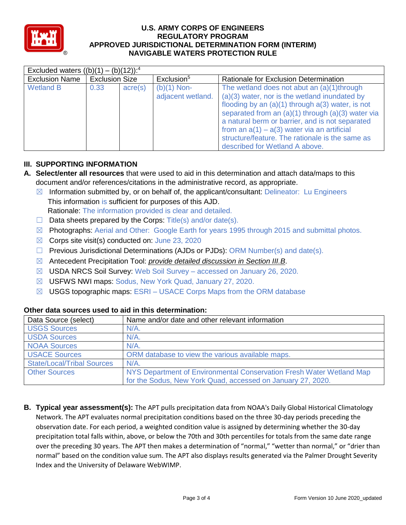

| Excluded waters $((b)(1) - (b)(12))$ : <sup>4</sup> |                       |                  |                                    |                                                                                                                                                                                                                                                                                                                                                                                                     |  |  |  |  |
|-----------------------------------------------------|-----------------------|------------------|------------------------------------|-----------------------------------------------------------------------------------------------------------------------------------------------------------------------------------------------------------------------------------------------------------------------------------------------------------------------------------------------------------------------------------------------------|--|--|--|--|
| <b>Exclusion Name</b>                               | <b>Exclusion Size</b> |                  | Exclusion <sup>5</sup>             | Rationale for Exclusion Determination                                                                                                                                                                                                                                                                                                                                                               |  |  |  |  |
| <b>Wetland B</b>                                    | 0.33                  | $\text{acre}(s)$ | $(b)(1)$ Non-<br>adjacent wetland. | The wetland does not abut an (a)(1)through<br>$(a)(3)$ water, nor is the wetland inundated by<br>flooding by an $(a)(1)$ through $a(3)$ water, is not<br>separated from an (a)(1) through (a)(3) water via<br>a natural berm or barrier, and is not separated<br>from an $a(1) - a(3)$ water via an artificial<br>structure/feature. The rationale is the same as<br>described for Wetland A above. |  |  |  |  |

# **III. SUPPORTING INFORMATION**

- **A. Select/enter all resources** that were used to aid in this determination and attach data/maps to this document and/or references/citations in the administrative record, as appropriate.
	- $\boxtimes$  Information submitted by, or on behalf of, the applicant/consultant: Delineator: Lu Engineers This information is sufficient for purposes of this AJD.
		- Rationale: The information provided is clear and detailed.
	- $\Box$  Data sheets prepared by the Corps: Title(s) and/or date(s).
	- $\boxtimes$  Photographs: Aerial and Other: Google Earth for years 1995 through 2015 and submittal photos.
	- $\boxtimes$  Corps site visit(s) conducted on: June 23, 2020
	- ☐ Previous Jurisdictional Determinations (AJDs or PJDs): ORM Number(s) and date(s).
	- ☒ Antecedent Precipitation Tool: *provide detailed discussion in Section III.B*.
	- ☒ USDA NRCS Soil Survey: Web Soil Survey accessed on January 26, 2020.
	- ☒ USFWS NWI maps: Sodus, New York Quad, January 27, 2020.
	- $\boxtimes$  USGS topographic maps: ESRI USACE Corps Maps from the ORM database

| Data Source (select)              | Name and/or date and other relevant information                      |
|-----------------------------------|----------------------------------------------------------------------|
| <b>USGS Sources</b>               | $N/A$ .                                                              |
| <b>USDA Sources</b>               | $N/A$ .                                                              |
| <b>NOAA Sources</b>               | $N/A$ .                                                              |
| <b>USACE Sources</b>              | ORM database to view the various available maps.                     |
| <b>State/Local/Tribal Sources</b> | $N/A$ .                                                              |
| <b>Other Sources</b>              | NYS Department of Environmental Conservation Fresh Water Wetland Map |
|                                   | for the Sodus, New York Quad, accessed on January 27, 2020.          |

### **Other data sources used to aid in this determination:**

**B. Typical year assessment(s):** The APT pulls precipitation data from NOAA's Daily Global Historical Climatology Network. The APT evaluates normal precipitation conditions based on the three 30-day periods preceding the observation date. For each period, a weighted condition value is assigned by determining whether the 30-day precipitation total falls within, above, or below the 70th and 30th percentiles for totals from the same date range over the preceding 30 years. The APT then makes a determination of "normal," "wetter than normal," or "drier than normal" based on the condition value sum. The APT also displays results generated via the Palmer Drought Severity Index and the University of Delaware WebWIMP.